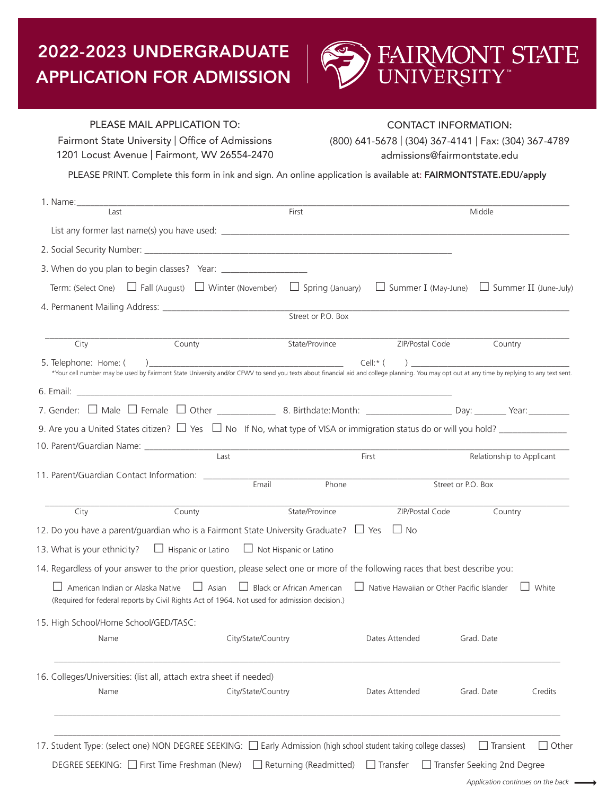# 2022-2023 UNDERGRADUATE APPLICATION FOR ADMISSION



## PLEASE MAIL APPLICATION TO:

Fairmont State University | Office of Admissions 1201 Locust Avenue | Fairmont, WV 26554-2470

## CONTACT INFORMATION:

(800) 641-5678 | (304) 367-4141 | Fax: (304) 367-4789 admissions@fairmontstate.edu

PLEASE PRINT. Complete this form in ink and sign. An online application is available at: FAIRMONTSTATE.EDU/apply

|                                                                              |                                                                                                                                                                                              | First                                                                                               |                                                  | Middle                                                   |
|------------------------------------------------------------------------------|----------------------------------------------------------------------------------------------------------------------------------------------------------------------------------------------|-----------------------------------------------------------------------------------------------------|--------------------------------------------------|----------------------------------------------------------|
|                                                                              |                                                                                                                                                                                              |                                                                                                     |                                                  |                                                          |
|                                                                              |                                                                                                                                                                                              |                                                                                                     |                                                  |                                                          |
|                                                                              | 3. When do you plan to begin classes? Year: ___________________                                                                                                                              |                                                                                                     |                                                  |                                                          |
|                                                                              | Term: (Select One) $\Box$ Fall (August) $\Box$ Winter (November) $\Box$ Spring (January) $\Box$ Summer I (May-June) $\Box$ Summer II (June-July)                                             |                                                                                                     |                                                  |                                                          |
|                                                                              |                                                                                                                                                                                              |                                                                                                     |                                                  |                                                          |
|                                                                              |                                                                                                                                                                                              | Street or P.O. Box                                                                                  |                                                  |                                                          |
| City                                                                         | County                                                                                                                                                                                       | State/Province                                                                                      | ZIP/Postal Code                                  | Country                                                  |
| 5. Telephone: Home: (                                                        | ) and the contract of the contract of the contract of $\mathcal{L}$                                                                                                                          |                                                                                                     | Cell:* $($                                       |                                                          |
|                                                                              | *Your cell number may be used by Fairmont State University and/or CFWV to send you texts about financial aid and college planning. You may opt out at any time by replying to any text sent. |                                                                                                     |                                                  |                                                          |
|                                                                              |                                                                                                                                                                                              |                                                                                                     |                                                  |                                                          |
|                                                                              |                                                                                                                                                                                              |                                                                                                     |                                                  |                                                          |
|                                                                              | 9. Are you a United States citizen? $\Box$ Yes $\Box$ No If No, what type of VISA or immigration status do or will you hold?                                                                 |                                                                                                     |                                                  |                                                          |
| 10. Parent/Guardian Name: ______________                                     | Last                                                                                                                                                                                         |                                                                                                     | First                                            | Relationship to Applicant                                |
|                                                                              |                                                                                                                                                                                              |                                                                                                     |                                                  |                                                          |
| 11. Parent/Guardian Contact Information: __________                          | Email                                                                                                                                                                                        | Phone                                                                                               | Street or P.O. Box                               |                                                          |
| City                                                                         | County                                                                                                                                                                                       | State/Province                                                                                      | ZIP/Postal Code                                  | Country                                                  |
|                                                                              |                                                                                                                                                                                              | 12. Do you have a parent/guardian who is a Fairmont State University Graduate? $\Box$ Yes $\Box$ No |                                                  |                                                          |
|                                                                              |                                                                                                                                                                                              |                                                                                                     |                                                  |                                                          |
|                                                                              | $\Box$ Hispanic or Latino $\Box$ Not Hispanic or Latino                                                                                                                                      |                                                                                                     |                                                  |                                                          |
|                                                                              | 14. Regardless of your answer to the prior question, please select one or more of the following races that best describe you:                                                                |                                                                                                     |                                                  |                                                          |
| $\Box$ American Indian or Alaska Native                                      | $\Box$ Asian<br>(Required for federal reports by Civil Rights Act of 1964. Not used for admission decision.)                                                                                 | $\Box$ Black or African American                                                                    | $\Box$ Native Hawaiian or Other Pacific Islander | White                                                    |
|                                                                              |                                                                                                                                                                                              |                                                                                                     |                                                  |                                                          |
| Name                                                                         | City/State/Country                                                                                                                                                                           |                                                                                                     | Dates Attended                                   | Grad. Date                                               |
|                                                                              | 16. Colleges/Universities: (list all, attach extra sheet if needed)                                                                                                                          |                                                                                                     |                                                  |                                                          |
| 13. What is your ethnicity?<br>15. High School/Home School/GED/TASC:<br>Name | City/State/Country                                                                                                                                                                           |                                                                                                     | Dates Attended                                   | Grad. Date<br>Credits                                    |
|                                                                              |                                                                                                                                                                                              |                                                                                                     |                                                  |                                                          |
|                                                                              | 17. Student Type: (select one) NON DEGREE SEEKING: [ Early Admission (high school student taking college classes)<br>DEGREE SEEKING: □ First Time Freshman (New)                             |                                                                                                     |                                                  | $\Box$ Transient<br>Other<br>Transfer Seeking 2nd Degree |